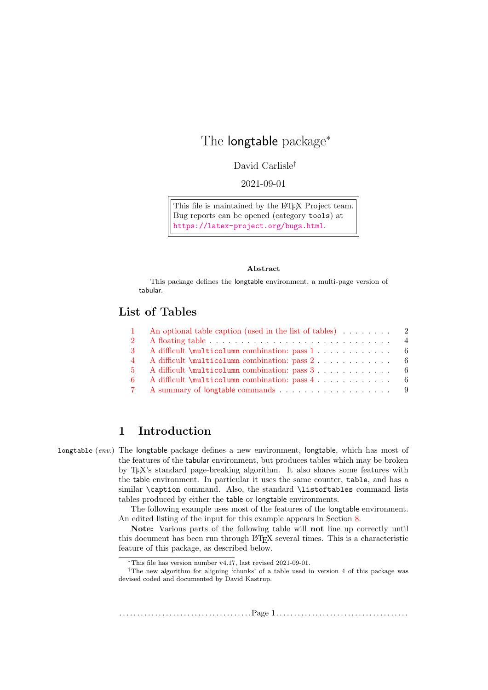# The longtable package<sup>∗</sup>

David Carlisle†

2021-09-01

This file is maintained by the LAT<sub>EX</sub> Project team. Bug reports can be opened (category tools) at <https://latex-project.org/bugs.html>.

#### Abstract

This package defines the longtable environment, a multi-page version of tabular.

# List of Tables

|          | An optional table caption (used in the list of tables) $\ldots \ldots$ 2 |
|----------|--------------------------------------------------------------------------|
|          |                                                                          |
| -3-      |                                                                          |
| 4        |                                                                          |
| -5.      | A difficult \multicolumn combination: pass 3 6                           |
| -6       | A difficult \multicolumn combination: pass 4 6                           |
| <b>7</b> |                                                                          |

# 1 Introduction

longtable (env.) The longtable package defines a new environment, longtable, which has most of the features of the tabular environment, but produces tables which may be broken by TEX's standard page-breaking algorithm. It also shares some features with the table environment. In particular it uses the same counter, table, and has a similar \caption command. Also, the standard \listoftables command lists tables produced by either the table or longtable environments.

> The following example uses most of the features of the longtable environment. An edited listing of the input for this example appears in Section [8.](#page-9-0)

> Note: Various parts of the following table will not line up correctly until this document has been run through LATEX several times. This is a characteristic feature of this package, as described below.

. . . . . . . . . . . . . . . . . . . . . . . . . . . . . . . . . . . . .Page 1. . . . . . . . . . . . . . . . . . . . . . . . . . . . . . . . . . . . .

<sup>∗</sup>This file has version number v4.17, last revised 2021-09-01.

<sup>†</sup>The new algorithm for aligning 'chunks' of a table used in version 4 of this package was devised coded and documented by David Kastrup.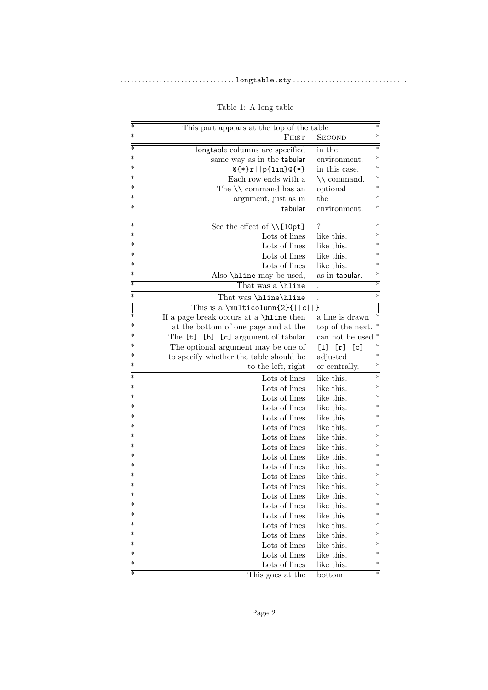<span id="page-1-0"></span>

| $\overline{\ast}$ | This part appears at the top of the table  |                      |
|-------------------|--------------------------------------------|----------------------|
| $\ast$            | FIRST                                      | <b>SECOND</b>        |
| ₮                 | longtable columns are specified            | in the               |
| $\ast$            | same way as in the tabular                 | environment.         |
| ∗                 | $@{*}r  p{1in}@{*}$                        | in this case.        |
| ∗                 | Each row ends with a                       | $\setminus$ command. |
| ∗                 | The $\setminus \mathcal{C}$ command has an | optional             |
| $\ast$            | argument, just as in                       | the                  |
| $\ast$            | tabular                                    | environment.         |
| ∗                 | See the effect of $\Upsilon$ [10pt]        | ?                    |
| ∗                 | Lots of lines                              | like this.           |
| ∗                 | Lots of lines                              | like this.           |
| ∗                 | Lots of lines                              | like this.           |
| $\ast$            | Lots of lines                              | like this.           |
| $\ast$            | Also \hline may be used,                   | as in tabular.       |
| $\ast$            | That was a \hline                          |                      |
| ₮                 | That was \hline\hline                      |                      |
|                   | This is a \multicolumn $\{2\}\{  c  \}$    |                      |
| ∗                 | If a page break occurs at a \hine then     | a line is drawn      |
| ∗                 | at the bottom of one page and at the       | top of the next.     |
| $\ast$            | The [t] [b] [c] argument of tabular        | can not be used.     |
| ∗                 | The optional argument may be one of        | [1] [r] [c]          |
| ∗                 | to specify whether the table should be     | adjusted             |
| ∗                 | to the left, right                         | or centrally.        |
| $\ast$            | Lots of lines                              | like this.           |
| ∗                 | Lots of lines                              | like this.           |
| ∗                 | Lots of lines                              | like this.           |
| ∗                 | Lots of lines                              | like this.           |
| ∗                 | Lots of lines                              | like this.           |
| ∗                 | Lots of lines                              | like this.           |
| ∗                 | Lots of lines                              | like this.           |
| ∗                 | Lots of lines                              | like this.           |
| ∗                 | Lots of lines                              | like this.           |
| ∗                 | Lots of lines                              | like this.           |
| $\ast$            | Lots of lines                              | like this.           |
| ∗                 | Lots of lines                              | like this.           |
| $\ast$            | Lots of lines                              | like this.           |
| $\ast$<br>∗       | Lots of lines                              | like this.           |
| ∗                 | Lots of lines                              | like this.           |
| ∗                 | Lots of lines                              | like this.           |
| ∗                 | Lots of lines                              | like this.           |
| $\ast$            | Lots of lines                              | like this.           |
| $\ast$            | Lots of lines                              | like this.           |
| $\ast$            | Lots of lines                              | like this.           |
|                   | This goes at the                           | bottom.              |

# Table 1: A long table

. . . . . . . . . . . . . . . . . . . . . . . . . . . . . . . . . . . . .Page 2. . . . . . . . . . . . . . . . . . . . . . . . . . . . . . . . . . . . .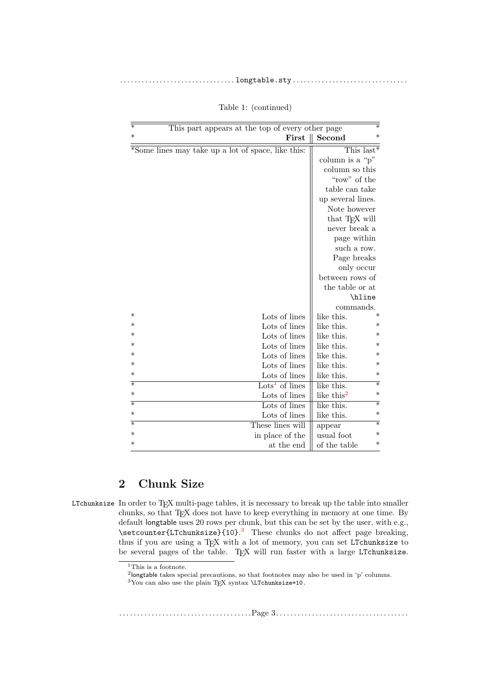| $\ast$<br>$^\ast$<br>First<br>Second<br>*Some lines may take up a lot of space, like this:<br>This last*<br>column is a " $p$ "<br>column so this<br>"row" of the<br>table can take<br>up several lines.<br>Note however<br>that TFX will<br>never break a<br>page within<br>such a row.<br>Page breaks<br>only occur<br>between rows of<br>the table or at<br>\hline |
|-----------------------------------------------------------------------------------------------------------------------------------------------------------------------------------------------------------------------------------------------------------------------------------------------------------------------------------------------------------------------|
|                                                                                                                                                                                                                                                                                                                                                                       |
|                                                                                                                                                                                                                                                                                                                                                                       |
|                                                                                                                                                                                                                                                                                                                                                                       |
|                                                                                                                                                                                                                                                                                                                                                                       |
|                                                                                                                                                                                                                                                                                                                                                                       |
|                                                                                                                                                                                                                                                                                                                                                                       |
|                                                                                                                                                                                                                                                                                                                                                                       |
|                                                                                                                                                                                                                                                                                                                                                                       |
|                                                                                                                                                                                                                                                                                                                                                                       |
|                                                                                                                                                                                                                                                                                                                                                                       |
|                                                                                                                                                                                                                                                                                                                                                                       |
|                                                                                                                                                                                                                                                                                                                                                                       |
|                                                                                                                                                                                                                                                                                                                                                                       |
|                                                                                                                                                                                                                                                                                                                                                                       |
|                                                                                                                                                                                                                                                                                                                                                                       |
|                                                                                                                                                                                                                                                                                                                                                                       |
|                                                                                                                                                                                                                                                                                                                                                                       |
| commands.<br>$\ast$<br>∗<br>Lots of lines<br>like this.                                                                                                                                                                                                                                                                                                               |
| $\ast$<br>$^\ast$<br>Lots of lines<br>like this.                                                                                                                                                                                                                                                                                                                      |
| $^\ast$<br>$\ast$<br>Lots of lines<br>like this.                                                                                                                                                                                                                                                                                                                      |
| $\ast$<br>∗<br>Lots of lines<br>like this.                                                                                                                                                                                                                                                                                                                            |
| $^\ast$<br>$\ast$<br>Lots of lines<br>like this.                                                                                                                                                                                                                                                                                                                      |
| $\ast$<br>Lots of lines<br>∗<br>like this.                                                                                                                                                                                                                                                                                                                            |
| ∗<br>Lots of lines<br>∗<br>like this.                                                                                                                                                                                                                                                                                                                                 |
| $\ast$<br>$\ast$<br>$\text{Lots}^1$ of lines<br>like this.                                                                                                                                                                                                                                                                                                            |
| $\ast$<br>like this <sup>2</sup><br>∗<br>Lots of lines                                                                                                                                                                                                                                                                                                                |
| ₮<br>$\ast$<br>Lots of lines<br>like this.                                                                                                                                                                                                                                                                                                                            |
| $\ast$<br>Lots of lines<br>∗<br>like this.                                                                                                                                                                                                                                                                                                                            |
| ∓<br>∗<br>These lines will<br>appear                                                                                                                                                                                                                                                                                                                                  |
| $\ast$<br>$\ast$<br>in place of the<br>usual foot                                                                                                                                                                                                                                                                                                                     |
| $\ast$<br>$\ast$<br>at the end<br>of the table                                                                                                                                                                                                                                                                                                                        |

Table 1: (continued)

# 2 Chunk Size

LTchunksize In order to TEX multi-page tables, it is necessary to break up the table into smaller chunks, so that TEX does not have to keep everything in memory at one time. By default longtable uses 20 rows per chunk, but this can be set by the user, with e.g., \setcounter{LTchunksize}{10}. [3](#page-2-2) These chunks do not affect page breaking, thus if you are using a T<sub>EX</sub> with a lot of memory, you can set LTchunksize to be several pages of the table. TEX will run faster with a large LTchunksize.

. . . . . . . . . . . . . . . . . . . . . . . . . . . . . . . . . . . . .Page 3. . . . . . . . . . . . . . . . . . . . . . . . . . . . . . . . . . . . .

<span id="page-2-0"></span> $\rm ^1This$  is a footnote.

<span id="page-2-1"></span><sup>2</sup> longtable takes special precautions, so that footnotes may also be used in 'p' columns.

<span id="page-2-2"></span> $3$ You can also use the plain TEX syntax  $\L$ Tchunksize=10.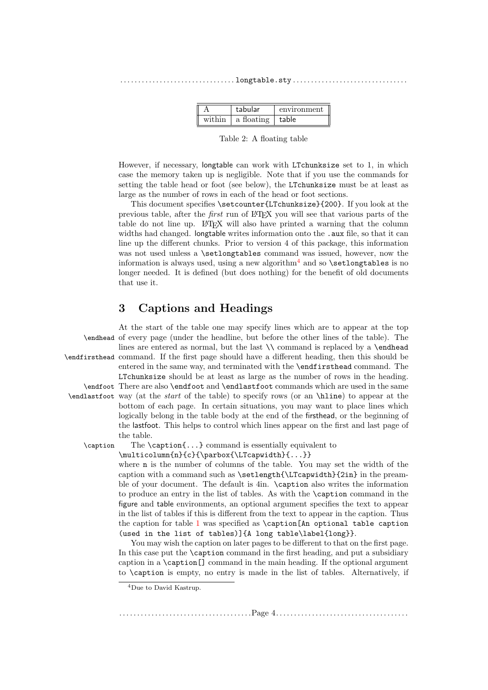|        | tabular    | environment |
|--------|------------|-------------|
| within | a floating | l table     |

<span id="page-3-0"></span>Table 2: A floating table

However, if necessary, longtable can work with LTchunksize set to 1, in which case the memory taken up is negligible. Note that if you use the commands for setting the table head or foot (see below), the LTchunksize must be at least as large as the number of rows in each of the head or foot sections.

This document specifies \setcounter{LTchunksize}{200}. If you look at the previous table, after the first run of LATEX you will see that various parts of the table do not line up. LATEX will also have printed a warning that the column widths had changed. longtable writes information onto the .aux file, so that it can line up the different chunks. Prior to version 4 of this package, this information was not used unless a **\setlongtables** command was issued, however, now the information is always used, using a new algorithm<sup>[4](#page-3-1)</sup> and so  $\setminus$  setlongtables is no longer needed. It is defined (but does nothing) for the benefit of old documents that use it.

# 3 Captions and Headings

|          | At the start of the table one may specify lines which are to appear at the top                          |
|----------|---------------------------------------------------------------------------------------------------------|
|          | \endhead of every page (under the headline, but before the other lines of the table). The               |
|          | lines are entered as normal, but the last $\setminus \mathcal{E}$ command is replaced by a $\end{math}$ |
|          | \endfirsthead command. If the first page should have a different heading, then this should be           |
|          | entered in the same way, and terminated with the <b>\endfirsthead</b> command. The                      |
|          | LTchunksize should be at least as large as the number of rows in the heading.                           |
|          | \endfoot There are also \endfoot and \endlastfoot commands which are used in the same                   |
|          | \endlastfoot way (at the <i>start</i> of the table) to specify rows (or an \hline) to appear at the     |
|          | bottom of each page. In certain situations, you may want to place lines which                           |
|          | logically belong in the table body at the end of the firsthead, or the beginning of                     |
|          | the last foot. This helps to control which lines appear on the first and last page of                   |
|          | the table.                                                                                              |
| \caption | The $\operatorname{cap} \{ \dots \}$ command is essentially equivalent to                               |
|          | \multicolumn{n}{c}{\parbox{\LTcapwidth}{}}                                                              |
|          | where <b>n</b> is the number of columns of the table. You may set the width of the                      |
|          | caption with a command such as \setlength{\LTcapwidth}{2in} in the pream-                               |
|          | ble of your document. The default is 4in. \caption also writes the information                          |
|          | to produce an entry in the list of tables. As with the <b>\caption</b> command in the                   |
|          | figure and table environments, an optional argument specifies the text to appear                        |
|          | in the list of tables if this is different from the text to appear in the caption. Thus                 |
|          | the caption for table 1 was specified as \caption [An optional table caption                            |
|          | (used in the list of tables)]{A long table\label{long}}.                                                |
|          |                                                                                                         |

You may wish the caption on later pages to be different to that on the first page. In this case put the \caption command in the first heading, and put a subsidiary caption in a \caption[] command in the main heading. If the optional argument to \caption is empty, no entry is made in the list of tables. Alternatively, if

. . . . . . . . . . . . . . . . . . . . . . . . . . . . . . . . . . . . .Page 4. . . . . . . . . . . . . . . . . . . . . . . . . . . . . . . . . . . . .

<span id="page-3-1"></span><sup>4</sup>Due to David Kastrup.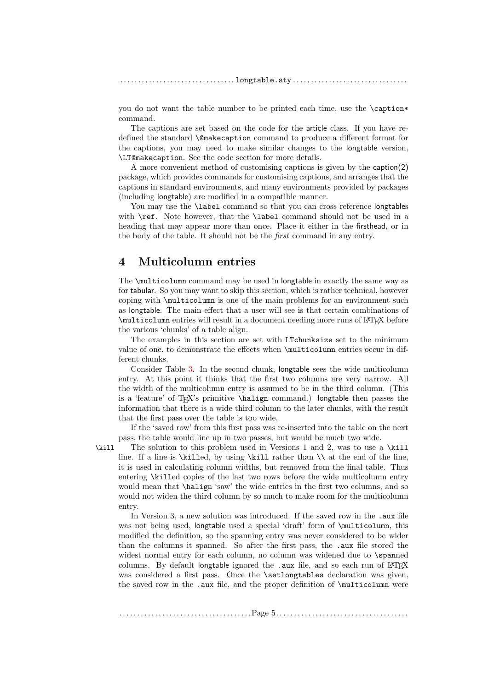you do not want the table number to be printed each time, use the \caption\* command.

The captions are set based on the code for the article class. If you have redefined the standard \@makecaption command to produce a different format for the captions, you may need to make similar changes to the longtable version, \LT@makecaption. See the code section for more details.

A more convenient method of customising captions is given by the caption(2) package, which provides commands for customising captions, and arranges that the captions in standard environments, and many environments provided by packages (including longtable) are modified in a compatible manner.

You may use the **\label** command so that you can cross reference longtables with \ref. Note however, that the \label command should not be used in a heading that may appear more than once. Place it either in the firsthead, or in the body of the table. It should not be the first command in any entry.

## 4 Multicolumn entries

The \multicolumn command may be used in longtable in exactly the same way as for tabular. So you may want to skip this section, which is rather technical, however coping with \multicolumn is one of the main problems for an environment such as longtable. The main effect that a user will see is that certain combinations of \multicolumn entries will result in a document needing more runs of LATEX before the various 'chunks' of a table align.

The examples in this section are set with LTchunksize set to the minimum value of one, to demonstrate the effects when \multicolumn entries occur in different chunks.

Consider Table [3.](#page-5-0) In the second chunk, longtable sees the wide multicolumn entry. At this point it thinks that the first two columns are very narrow. All the width of the multicolumn entry is assumed to be in the third column. (This is a 'feature' of TEX's primitive \halign command.) longtable then passes the information that there is a wide third column to the later chunks, with the result that the first pass over the table is too wide.

If the 'saved row' from this first pass was re-inserted into the table on the next pass, the table would line up in two passes, but would be much two wide.

\kill The solution to this problem used in Versions 1 and 2, was to use a \kill line. If a line is  $\kappa$  by using  $\kappa$  than  $\lambda$  at the end of the line, it is used in calculating column widths, but removed from the final table. Thus entering \killed copies of the last two rows before the wide multicolumn entry would mean that \halign 'saw' the wide entries in the first two columns, and so would not widen the third column by so much to make room for the multicolumn entry.

In Version 3, a new solution was introduced. If the saved row in the .aux file was not being used, longtable used a special 'draft' form of \multicolumn, this modified the definition, so the spanning entry was never considered to be wider than the columns it spanned. So after the first pass, the .aux file stored the widest normal entry for each column, no column was widened due to \spanned columns. By default longtable ignored the .aux file, and so each run of  $L^4T_FX$ was considered a first pass. Once the **\setlongtables** declaration was given, the saved row in the .aux file, and the proper definition of \multicolumn were

. . . . . . . . . . . . . . . . . . . . . . . . . . . . . . . . . . . . .Page 5. . . . . . . . . . . . . . . . . . . . . . . . . . . . . . . . . . . . .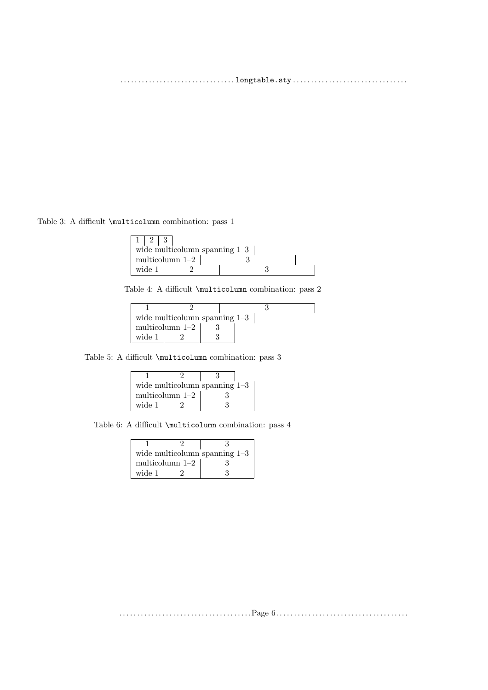Table 3: A difficult \multicolumn combination: pass 1

<span id="page-5-0"></span>

| $1 \mid 2 \mid 3$ |                                 |  |
|-------------------|---------------------------------|--|
|                   | wide multicolumn spanning $1-3$ |  |
|                   | multicolumn $1-2$               |  |
| wide 1            |                                 |  |

<span id="page-5-1"></span>Table 4: A difficult \multicolumn combination: pass 2

ן

|        | wide multicolumn spanning $1-3$ |  |
|--------|---------------------------------|--|
|        | multicolumn $1-2$               |  |
| wide 1 |                                 |  |

Table 5: A difficult **\multicolumn** combination: pass 3

<span id="page-5-2"></span>

|                   |  | wide multicolumn spanning $1-3$ |
|-------------------|--|---------------------------------|
| multicolumn $1-2$ |  |                                 |
| wide 1            |  |                                 |

Table 6: A difficult **\multicolumn** combination: pass 4

<span id="page-5-3"></span>

| wide multicolumn spanning $1-3$ |  |  |
|---------------------------------|--|--|
| multicolumn $1-2$               |  |  |
| wide 1                          |  |  |

. . . . . . . . . . . . . . . . . . . . . . . . . . . . . . . . . . . . .Page 6. . . . . . . . . . . . . . . . . . . . . . . . . . . . . . . . . . . . .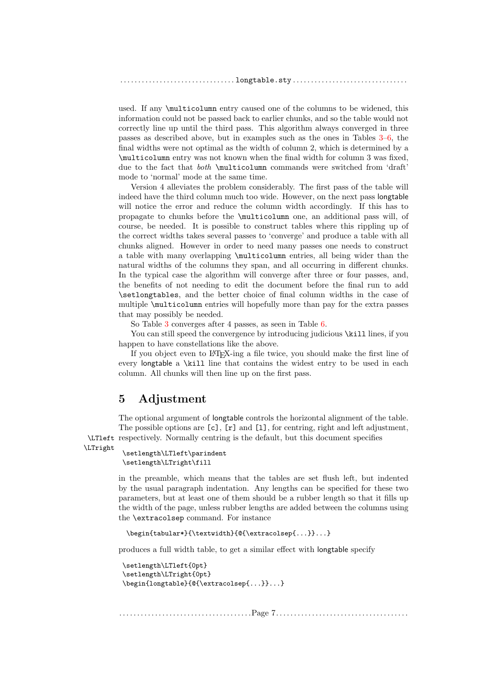used. If any \multicolumn entry caused one of the columns to be widened, this information could not be passed back to earlier chunks, and so the table would not correctly line up until the third pass. This algorithm always converged in three passes as described above, but in examples such as the ones in Tables [3–](#page-5-0)[6,](#page-5-3) the final widths were not optimal as the width of column 2, which is determined by a \multicolumn entry was not known when the final width for column 3 was fixed, due to the fact that both \multicolumn commands were switched from 'draft' mode to 'normal' mode at the same time.

Version 4 alleviates the problem considerably. The first pass of the table will indeed have the third column much too wide. However, on the next pass longtable will notice the error and reduce the column width accordingly. If this has to propagate to chunks before the \multicolumn one, an additional pass will, of course, be needed. It is possible to construct tables where this rippling up of the correct widths takes several passes to 'converge' and produce a table with all chunks aligned. However in order to need many passes one needs to construct a table with many overlapping \multicolumn entries, all being wider than the natural widths of the columns they span, and all occurring in different chunks. In the typical case the algorithm will converge after three or four passes, and, the benefits of not needing to edit the document before the final run to add \setlongtables, and the better choice of final column widths in the case of multiple \multicolumn entries will hopefully more than pay for the extra passes that may possibly be needed.

So Table [3](#page-5-0) converges after 4 passes, as seen in Table [6.](#page-5-3)

You can still speed the convergence by introducing judicious  $\lambda$ ill lines, if you happen to have constellations like the above.

If you object even to LATEX-ing a file twice, you should make the first line of every longtable a \kill line that contains the widest entry to be used in each column. All chunks will then line up on the first pass.

# 5 Adjustment

The optional argument of longtable controls the horizontal alignment of the table. The possible options are  $[c]$ ,  $[r]$  and  $[1]$ , for centring, right and left adjustment, \LTleft respectively. Normally centring is the default, but this document specifies

```
\LTright
```

```
\setlength\LTleft\parindent
\setlength\LTright\fill
```
in the preamble, which means that the tables are set flush left, but indented by the usual paragraph indentation. Any lengths can be specified for these two parameters, but at least one of them should be a rubber length so that it fills up the width of the page, unless rubber lengths are added between the columns using the \extracolsep command. For instance

```
\begin{tabular*}{\textwidth}{@{\extracolsep{...}}...}
```
produces a full width table, to get a similar effect with longtable specify

```
\setlength\LTleft{0pt}
\setlength\LTright{0pt}
\begin{longtable}{@{\extracolsep{...}}...}
```
. . . . . . . . . . . . . . . . . . . . . . . . . . . . . . . . . . . . .Page 7. . . . . . . . . . . . . . . . . . . . . . . . . . . . . . . . . . . . .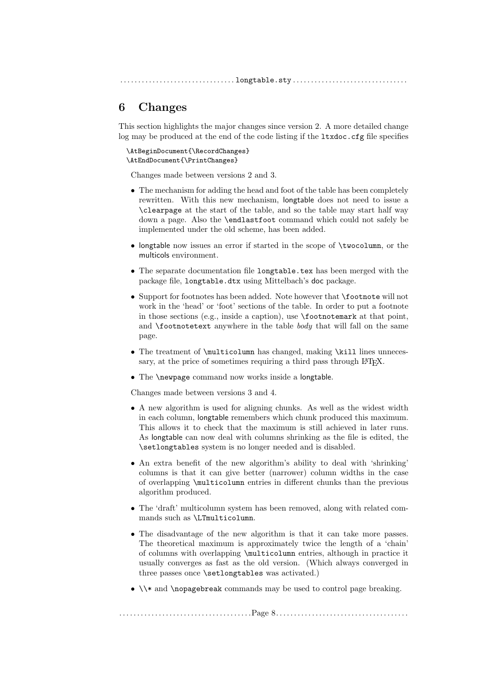# 6 Changes

This section highlights the major changes since version 2. A more detailed change log may be produced at the end of the code listing if the ltxdoc.cfg file specifies

```
\AtBeginDocument{\RecordChanges}
\AtEndDocument{\PrintChanges}
```
Changes made between versions 2 and 3.

- The mechanism for adding the head and foot of the table has been completely rewritten. With this new mechanism, longtable does not need to issue a \clearpage at the start of the table, and so the table may start half way down a page. Also the \endlastfoot command which could not safely be implemented under the old scheme, has been added.
- longtable now issues an error if started in the scope of \twocolumn, or the multicols environment.
- The separate documentation file longtable.tex has been merged with the package file, longtable.dtx using Mittelbach's doc package.
- Support for footnotes has been added. Note however that \footnote will not work in the 'head' or 'foot' sections of the table. In order to put a footnote in those sections (e.g., inside a caption), use \footnotemark at that point, and  $\footnotesize\bigwedge\hspace{0.5mm} \text{footnotetext}$  anywhere in the table *body* that will fall on the same page.
- The treatment of **\multicolumn** has changed, making **\kill** lines unnecessary, at the price of sometimes requiring a third pass through LAT<sub>E</sub>X.
- The \newpage command now works inside a longtable.

Changes made between versions 3 and 4.

- A new algorithm is used for aligning chunks. As well as the widest width in each column, longtable remembers which chunk produced this maximum. This allows it to check that the maximum is still achieved in later runs. As longtable can now deal with columns shrinking as the file is edited, the \setlongtables system is no longer needed and is disabled.
- An extra benefit of the new algorithm's ability to deal with 'shrinking' columns is that it can give better (narrower) column widths in the case of overlapping \multicolumn entries in different chunks than the previous algorithm produced.
- The 'draft' multicolumn system has been removed, along with related commands such as \LTmulticolumn.
- The disadvantage of the new algorithm is that it can take more passes. The theoretical maximum is approximately twice the length of a 'chain' of columns with overlapping \multicolumn entries, although in practice it usually converges as fast as the old version. (Which always converged in three passes once \setlongtables was activated.)
- \\\* and \nopagebreak commands may be used to control page breaking.

## . . . . . . . . . . . . . . . . . . . . . . . . . . . . . . . . . . . . .Page 8. . . . . . . . . . . . . . . . . . . . . . . . . . . . . . . . . . . . .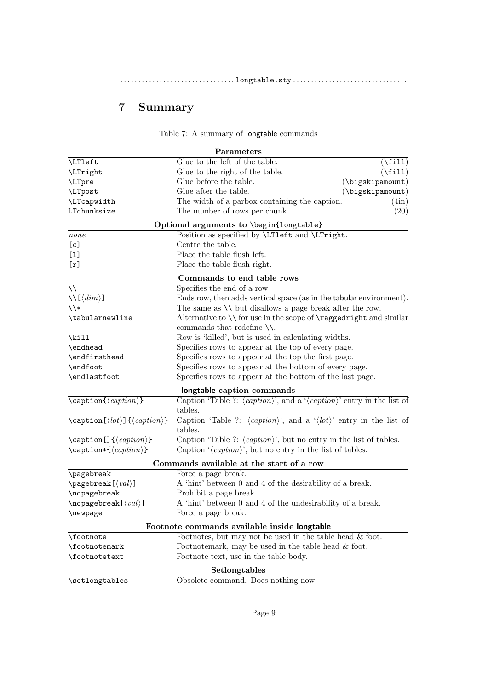|--|

# 7 Summary

<span id="page-8-0"></span>

| Table 7: A summary of longtable commands |  |
|------------------------------------------|--|

|                                                                          | Parameters                                                                                            |  |  |
|--------------------------------------------------------------------------|-------------------------------------------------------------------------------------------------------|--|--|
| LTleft                                                                   | Glue to the left of the table.<br>$(\text{fill})$                                                     |  |  |
| \LTright                                                                 | $(\forall$ fill)<br>Glue to the right of the table.                                                   |  |  |
| \LTpre                                                                   | Glue before the table.<br>$(\text{bigskipamount})$                                                    |  |  |
| <b>\LTpost</b>                                                           | Glue after the table.<br>$(\big\langle\big\langle\big\rangle\big\rangle)$                             |  |  |
| \LTcapwidth                                                              | The width of a parbox containing the caption.<br>(4in)                                                |  |  |
| LTchunksize                                                              | The number of rows per chunk.<br>(20)                                                                 |  |  |
|                                                                          | Optional arguments to \begin{longtable}                                                               |  |  |
| none                                                                     | Position as specified by <i>\LTleft</i> and <i>\LTright</i> .                                         |  |  |
| [c]                                                                      | Centre the table.                                                                                     |  |  |
| $[1]$                                                                    | Place the table flush left.                                                                           |  |  |
| [r]                                                                      | Place the table flush right.                                                                          |  |  |
|                                                                          | Commands to end table rows                                                                            |  |  |
| $\setminus$                                                              | Specifies the end of a row                                                                            |  |  |
| $\setminus\setminus[\langle dim \rangle]$                                | Ends row, then adds vertical space (as in the tabular environment).                                   |  |  |
| $\setminus$ *                                                            | The same as $\setminus \setminus$ but disallows a page break after the row.                           |  |  |
| \tabularnewline                                                          | Alternative to $\setminus$ for use in the scope of $\r{raggedright}$ and similar                      |  |  |
|                                                                          | commands that redefine $\setminus$ .                                                                  |  |  |
| $\tilde{}$                                                               | Row is 'killed', but is used in calculating widths.                                                   |  |  |
| \endhead                                                                 | Specifies rows to appear at the top of every page.                                                    |  |  |
| \endfirsthead                                                            | Specifies rows to appear at the top the first page.                                                   |  |  |
| \endfoot                                                                 | Specifies rows to appear at the bottom of every page.                                                 |  |  |
| \endlastfoot<br>Specifies rows to appear at the bottom of the last page. |                                                                                                       |  |  |
|                                                                          | longtable caption commands                                                                            |  |  |
| $\setminus$ caption{ $\langle caption \rangle$ }                         | Caption 'Table ?: $\langle caption \rangle$ ', and a $\langle caption \rangle$ ' entry in the list of |  |  |
|                                                                          | tables.                                                                                               |  |  |
| $\c$ aption $[\langle lot \rangle] {\langle caption \rangle}$            | Caption 'Table ?: $\langle caption \rangle$ ', and a $\langle lot \rangle$ ' entry in the list of     |  |  |
|                                                                          | tables.                                                                                               |  |  |
| $\setminus$ caption [] $\{\langle caption \rangle\}$                     | Caption 'Table ?: $\langle caption \rangle$ ', but no entry in the list of tables.                    |  |  |
| $\text{caption*}\{\langle caption\rangle\}$                              | Caption $\langle \text{caption}\rangle$ , but no entry in the list of tables.                         |  |  |
|                                                                          | Commands available at the start of a row                                                              |  |  |
| \pagebreak                                                               | Force a page break.                                                                                   |  |  |
| $\text{pagebreak}$ [ $\langle val \rangle$ ]                             | A 'hint' between 0 and 4 of the desirability of a break.                                              |  |  |
| \nopagebreak                                                             | Prohibit a page break.                                                                                |  |  |
| $\n\neq$ $\langle val \rangle$ ]                                         | A 'hint' between 0 and 4 of the undesirability of a break.                                            |  |  |
| Force a page break.<br>\newpage                                          |                                                                                                       |  |  |
|                                                                          | Footnote commands available inside longtable                                                          |  |  |
| \footnote                                                                | Footnotes, but may not be used in the table head $\&$ foot.                                           |  |  |
| Footnotemark, may be used in the table head $\&$ foot.<br>\footnotemark  |                                                                                                       |  |  |
| \footnotetext                                                            | Footnote text, use in the table body.                                                                 |  |  |
|                                                                          | Setlongtables                                                                                         |  |  |
| \setlongtables                                                           | Obsolete command. Does nothing now.                                                                   |  |  |
|                                                                          |                                                                                                       |  |  |

. . . . . . . . . . . . . . . . . . . . . . . . . . . . . . . . . . . . .Page 9. . . . . . . . . . . . . . . . . . . . . . . . . . . . . . . . . . . . .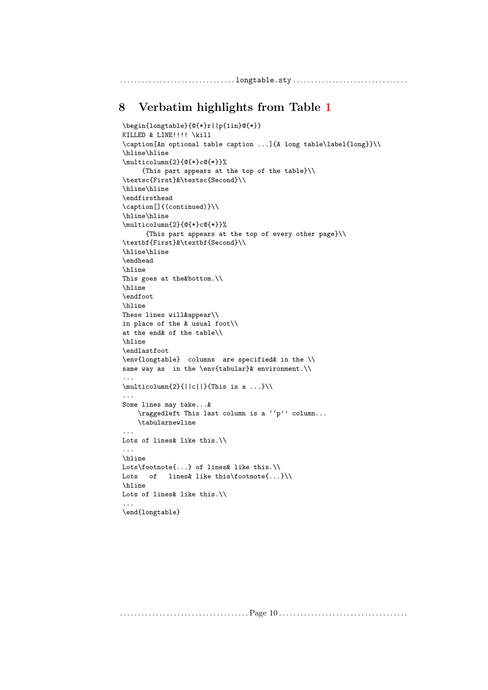# <span id="page-9-0"></span>8 Verbatim highlights from Table [1](#page-1-0)

```
\begin{longtable}{@{*}r||p{1in}@{*}}
KILLED & LINE!!!! \kill
\caption[An optional table caption ...]{A long table\label{long}}\\
\hline\hline
\multicolumn{2}{@{*}c@{*}}%
    {This part appears at the top of the table}\\
\textsc{First}&\textsc{Second}\\
\hline\hline
\endfirsthead
\caption[]{(continued)}\\
\hline\hline
\multicolumn{2}{@{*}c@{*}}%
      {This part appears at the top of every other page}\\
\textbf{First}&\textbf{Second}\\
\hline\hline
\endhead
\hline
This goes at the&bottom.\\
\hline
\endfoot
\hline
These lines will&appear\\
in place of the & usual foot\\
at the end& of the table\\
\hline
\endlastfoot
\env{longtable} columns are specified& in the \\
same way as in the \env{tabular}& environment.\\
...
\mathcal{2}{||c||}{This is a ...}
...
Some lines may take...&
    \raggedleft This last column is a ''p'' column...
    \tabularnewline
...
Lots of lines& like this.\\
...
\hline
Lots\footnote{...} of lines& like this.\\
Lots of lines& like this\footnote{...}\\
\hline
Lots of lines& like this.\\
...
\end{longtable}
```
. . . . . . . . . . . . . . . . . . . . . . . . . . . . . . . . . . . . Page 10 . . . . . . . . . . . . . . . . . . . . . . . . . . . . . . . . . . . .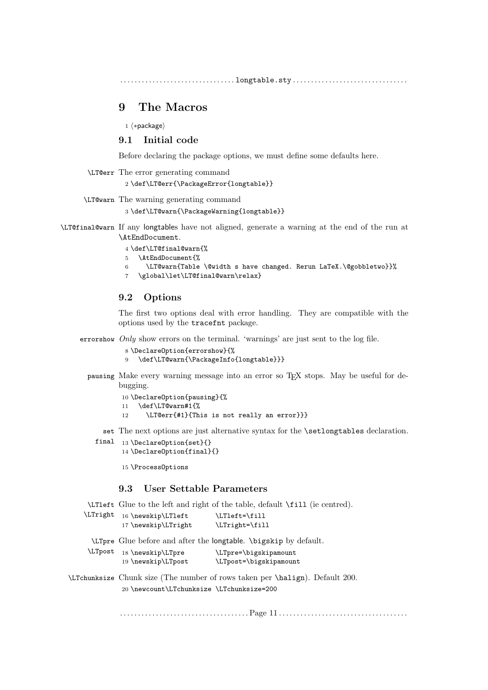# 9 The Macros

1 ⟨∗package⟩

#### 9.1 Initial code

Before declaring the package options, we must define some defaults here.

```
\LT@err The error generating command
```

```
2 \def\LT@err{\PackageError{longtable}}
```
\LT@warn The warning generating command

```
3 \def\LT@warn{\PackageWarning{longtable}}
```
\LT@final@warn If any longtables have not aligned, generate a warning at the end of the run at \AtEndDocument.

#### 4 \def\LT@final@warn{%

- 5 \AtEndDocument{%
- 6 \LT@warn{Table \@width s have changed. Rerun LaTeX.\@gobbletwo}}%
- 7 \global\let\LT@final@warn\relax}

#### 9.2 Options

The first two options deal with error handling. They are compatible with the options used by the tracefnt package.

errorshow Only show errors on the terminal. 'warnings' are just sent to the log file.

```
8 \DeclareOption{errorshow}{%
```
- 9 \def\LT@warn{\PackageInfo{longtable}}}
- pausing Make every warning message into an error so TEX stops. May be useful for debugging.
	- 10 \DeclareOption{pausing}{%
	- 11 \def\LT@warn#1{%
	- 12 \LT@err{#1}{This is not really an error}}}

set The next options are just alternative syntax for the \setlongtables declaration.

final 13 \DeclareOption{set}{} 14 \DeclareOption{final}{}

15 \ProcessOptions

# 9.3 User Settable Parameters

\LTleft Glue to the left and right of the table, default \fill (ie centred).

| \LTright | 16 \newskip\LTleft    | \LTleft=\fill  |
|----------|-----------------------|----------------|
|          | $17$ \newskip\LTright | \LTright=\fill |

\LTpre Glue before and after the longtable. \bigskip by default.

| <b>LTpost</b> | $18 \n\newskip\ell\L$ Tpre | \LTpre=\bigskipamount  |
|---------------|----------------------------|------------------------|
|               | 19 \newskip\LTpost         | \LTpost=\bigskipamount |

\LTchunksize Chunk size (The number of rows taken per \halign). Default 200. 20 \newcount\LTchunksize \LTchunksize=200

. . . . . . . . . . . . . . . . . . . . . . . . . . . . . . . . . . . . Page 11 . . . . . . . . . . . . . . . . . . . . . . . . . . . . . . . . . . . .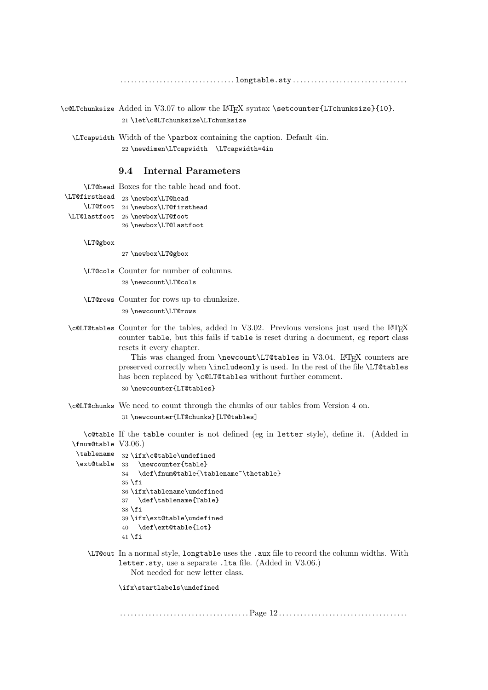\c@LTchunksize Added in V3.07 to allow the LATEX syntax \setcounter{LTchunksize}{10}. 21 \let\c@LTchunksize\LTchunksize

\LTcapwidth Width of the \parbox containing the caption. Default 4in. 22 \newdimen\LTcapwidth \LTcapwidth=4in

## 9.4 Internal Parameters

\LT@head Boxes for the table head and foot. \LT@firsthead 23 \newbox\LT@head \LT@foot 24 \newbox\LT@firsthead \LT@lastfoot 25 \newbox\LT@foot 26 \newbox\LT@lastfoot \LT@gbox 27 \newbox\LT@gbox \LT@cols Counter for number of columns. 28 \newcount\LT@cols \LT@rows Counter for rows up to chunksize. 29 \newcount\LT@rows \c@LT@tables Counter for the tables, added in V3.02. Previous versions just used the L<sup>AT</sup>FX counter table, but this fails if table is reset during a document, eg report class resets it every chapter. This was changed from \newcount\LT@tables in V3.04. LATEX counters are preserved correctly when \includeonly is used. In the rest of the file \LT@tables has been replaced by \c@LT@tables without further comment. 30 \newcounter{LT@tables} \c@LT@chunks We need to count through the chunks of our tables from Version 4 on. 31 \newcounter{LT@chunks}[LT@tables] \c@table If the table counter is not defined (eg in letter style), define it. (Added in \fnum@table V3.06.) \tablename 32 \ifx\c@table\undefined \ext@table 33 \newcounter{table} 34 \def\fnum@table{\tablename~\thetable}  $35 \text{ }$ ifi 36 \ifx\tablename\undefined 37 \def\tablename{Table}  $38 \text{ } \text{ } 15$ 39 \ifx\ext@table\undefined 40 \def\ext@table{lot}  $41$  \fi \LT@out In a normal style, longtable uses the .aux file to record the column widths. With letter.sty, use a separate .lta file. (Added in V3.06.) Not needed for new letter class. \ifx\startlabels\undefined

. . . . . . . . . . . . . . . . . . . . . . . . . . . . . . . . . . . . Page 12 . . . . . . . . . . . . . . . . . . . . . . . . . . . . . . . . . . . .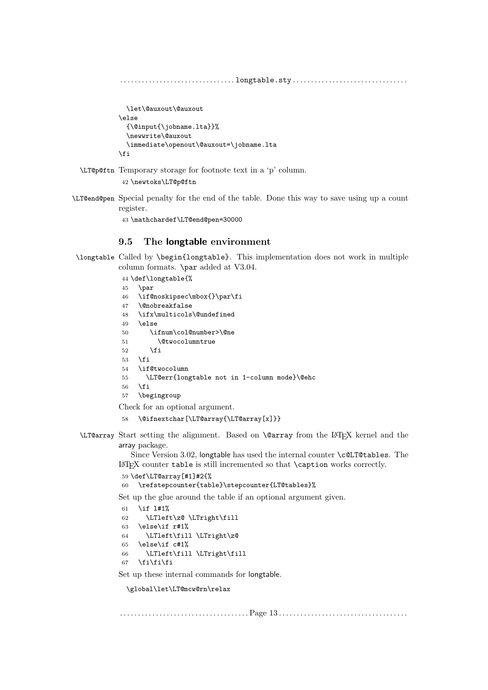```
. . . . . . . . . . . . . . . . . . . . . . . . . . . . . . . . longtable.sty . . . . . . . . . . . . . . . . . . . . . . . . . . . . . . . .
               \let\@auxout\@auxout
            \else
               {\@input{\jobname.lta}}%
               \newwrite\@auxout
               \immediate\openout\@auxout=\jobname.lta
            \fi
\LT@p@ftn Temporary storage for footnote text in a 'p' column.
             42 \newtoks\LT@p@ftn
```
\LT@end@pen Special penalty for the end of the table. Done this way to save using up a count register.

43 \mathchardef\LT@end@pen=30000

#### 9.5 The longtable environment

```
\longtable Called by \begin{longtable}. This implementation does not work in multiple
          column formats. \par added at V3.04.
```

```
44 \def\longtable{%
45 \par
46 \if@noskipsec\mbox{}\par\fi
47 \@nobreakfalse
48 \ifx\multicols\@undefined
49 \else
50 \ifnum\col@number>\@ne
51 \@twocolumntrue
52 \overline{\ } \overline{\ } \fi
53 \sqrt{fi}54 \if@twocolumn
55 \LT@err{longtable not in 1-column mode}\@ehc
56 \overline{f}57 \begingroup
```
Check for an optional argument.

- 58 \@ifnextchar[\LT@array{\LT@array[x]}}
- \LT@array Start setting the alignment. Based on \@array from the LATEX kernel and the array package.

Since Version 3.02, longtable has used the internal counter \c@LT@tables. The LATEX counter table is still incremented so that \caption works correctly.

```
59 \def\LT@array[#1]#2{%
60 \refstepcounter{table}\stepcounter{LT@tables}%
```
Set up the glue around the table if an optional argument given.

```
61 \if l#1%
62 \LTleft\z@ \LTright\fill
63 \else\if r#1%
64 \LTleft\fill \LTright\z@
65 \else\if c#1%
66 \LTleft\fill \LTright\fill
67 \fi\fi\fi
```
Set up these internal commands for longtable.

\global\let\LT@mcw@rn\relax

. . . . . . . . . . . . . . . . . . . . . . . . . . . . . . . . . . . . Page 13 . . . . . . . . . . . . . . . . . . . . . . . . . . . . . . . . . . . .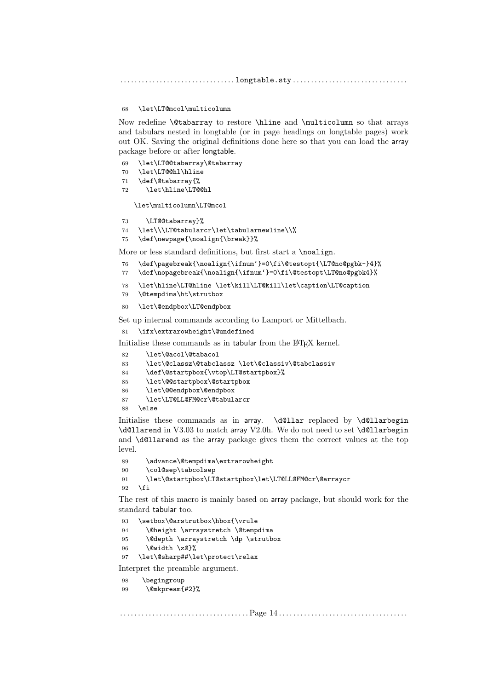#### \let\LT@mcol\multicolumn

Now redefine \@tabarray to restore \hline and \multicolumn so that arrays and tabulars nested in longtable (or in page headings on longtable pages) work out OK. Saving the original definitions done here so that you can load the array package before or after longtable.

- \let\LT@@tabarray\@tabarray
- \let\LT@@hl\hline
- \def\@tabarray{%
- \let\hline\LT@@hl

\let\multicolumn\LT@mcol

```
73 \LT@@tabarray}%
```
- \let\\\LT@tabularcr\let\tabularnewline\\%
- \def\newpage{\noalign{\break}}%

More or less standard definitions, but first start a \noalign.

- \def\pagebreak{\noalign{\ifnum'}=0\fi\@testopt{\LT@no@pgbk-}4}%
- \def\nopagebreak{\noalign{\ifnum'}=0\fi\@testopt\LT@no@pgbk4}%
- \let\hline\LT@hline \let\kill\LT@kill\let\caption\LT@caption
- \@tempdima\ht\strutbox
- \let\@endpbox\LT@endpbox

Set up internal commands according to Lamport or Mittelbach.

\ifx\extrarowheight\@undefined

Initialise these commands as in tabular from the LAT<sub>EX</sub> kernel.

\let\@acol\@tabacol

```
83 \let\@classz\@tabclassz \let\@classiv\@tabclassiv
```
- \def\@startpbox{\vtop\LT@startpbox}%
- \let\@@startpbox\@startpbox
- \let\@@endpbox\@endpbox
- \let\LT@LL@FM@cr\@tabularcr

\else

Initialise these commands as in array. \d@llar replaced by \d@llarbegin \d@llarend in V3.03 to match array V2.0h. We do not need to set \d@llarbegin and \d@llarend as the array package gives them the correct values at the top level.

```
89 \advance\@tempdima\extrarowheight
90 \col@sep\tabcolsep
91 \let\@startpbox\LT@startpbox\let\LT@LL@FM@cr\@arraycr
92 \fi
```
The rest of this macro is mainly based on array package, but should work for the standard tabular too.

 \setbox\@arstrutbox\hbox{\vrule \@height \arraystretch \@tempdima 95 \@depth \arraystretch \dp \strutbox \@width \z@}% \let\@sharp##\let\protect\relax Interpret the preamble argument.

\begingroup

```
99 \@mkpream{#2}%
```
. . . . . . . . . . . . . . . . . . . . . . . . . . . . . . . . . . . . Page 14 . . . . . . . . . . . . . . . . . . . . . . . . . . . . . . . . . . . .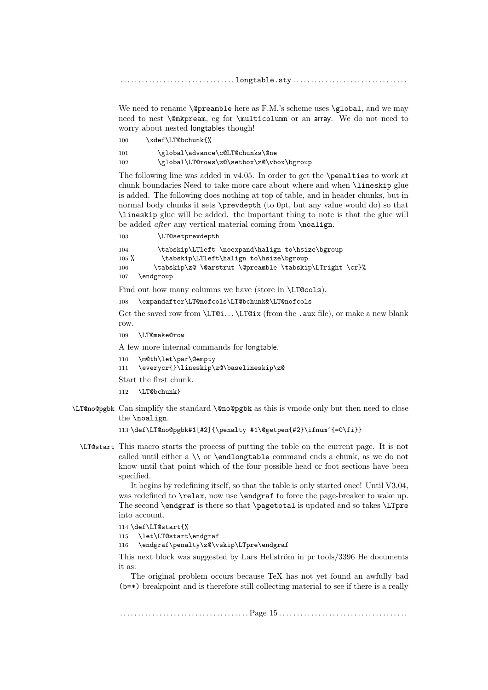We need to rename  $\@pr$ eamble here as F.M.'s scheme uses  $\gtrsim 1$ obal, and we may need to nest \@mkpream, eg for \multicolumn or an array. We do not need to worry about nested longtables though!

100 \xdef\LT@bchunk{%

101 \global\advance\c@LT@chunks\@ne 102 \global\LT@rows\z@\setbox\z@\vbox\bgroup

The following line was added in v4.05. In order to get the \penalties to work at chunk boundaries Need to take more care about where and when \lineskip glue is added. The following does nothing at top of table, and in header chunks, but in normal body chunks it sets \prevdepth (to 0pt, but any value would do) so that \lineskip glue will be added. the important thing to note is that the glue will be added *after* any vertical material coming from **\noalign.** 

103 \LT@setprevdepth

104 \tabskip\LTleft \noexpand\halign to\hsize\bgroup 105 % \tabskip\LTleft\halign to\hsize\bgroup 106 \tabskip\z@ \@arstrut \@preamble \tabskip\LTright \cr}% 107 \endgroup

Find out how many columns we have (store in \LT@cols).

108 \expandafter\LT@nofcols\LT@bchunk&\LT@nofcols

Get the saved row from  $\LTCi... \LTCix$  (from the .aux file), or make a new blank row.

109 \LT@make@row

A few more internal commands for longtable.

```
110 \m@th\let\par\@empty
```
111 \everycr{}\lineskip\z@\baselineskip\z@

Start the first chunk.

- 112 \LT@bchunk}
- \LT@no@pgbk Can simplify the standard \@no@pgbk as this is vmode only but then need to close the \noalign.

113 \def\LT@no@pgbk#1[#2]{\penalty #1\@getpen{#2}\ifnum'{=0\fi}}

\LT@start This macro starts the process of putting the table on the current page. It is not called until either a  $\\$  or  $\end{math}$  command ends a chunk, as we do not know until that point which of the four possible head or foot sections have been specified.

> It begins by redefining itself, so that the table is only started once! Until V3.04, was redefined to **\relax**, now use **\endgraf** to force the page-breaker to wake up. The second \endgraf is there so that \pagetotal is updated and so takes \LTpre into account.

114 \def\LT@start{%

115 \let\LT@start\endgraf

116 \endgraf\penalty\z@\vskip\LTpre\endgraf

This next block was suggested by Lars Hellström in pr tools/3396 He documents it as:

The original problem occurs because TeX has not yet found an awfully bad (b=\*) breakpoint and is therefore still collecting material to see if there is a really

. . . . . . . . . . . . . . . . . . . . . . . . . . . . . . . . . . . . Page 15 . . . . . . . . . . . . . . . . . . . . . . . . . . . . . . . . . . . .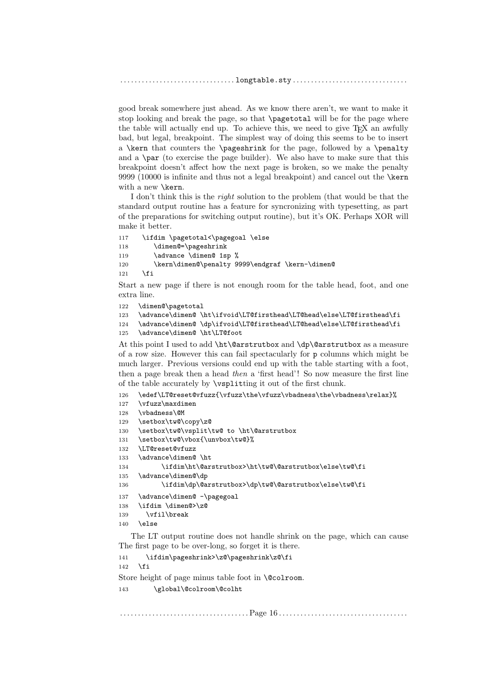good break somewhere just ahead. As we know there aren't, we want to make it stop looking and break the page, so that \pagetotal will be for the page where the table will actually end up. To achieve this, we need to give T<sub>E</sub>X an awfully bad, but legal, breakpoint. The simplest way of doing this seems to be to insert a \kern that counters the \pageshrink for the page, followed by a \penalty and a \par (to exercise the page builder). We also have to make sure that this breakpoint doesn't affect how the next page is broken, so we make the penalty 9999 (10000 is infinite and thus not a legal breakpoint) and cancel out the \kern with a new \kern.

I don't think this is the right solution to the problem (that would be that the standard output routine has a feature for syncronizing with typesetting, as part of the preparations for switching output routine), but it's OK. Perhaps XOR will make it better.

```
117 \ifdim \pagetotal<\pagegoal \else
118 \dimen@=\pageshrink
119 \advance \dimen@ 1sp %
120 \kern\dimen@\penalty 9999\endgraf \kern-\dimen@
```
 $121$  \fi

Start a new page if there is not enough room for the table head, foot, and one extra line.

```
122 \dimen@\pagetotal
```
123 \advance\dimen@ \ht\ifvoid\LT@firsthead\LT@head\else\LT@firsthead\fi

124 \advance\dimen@ \dp\ifvoid\LT@firsthead\LT@head\else\LT@firsthead\fi

```
125 \advance\dimen@ \ht\LT@foot
```
At this point I used to add \ht\@arstrutbox and \dp\@arstrutbox as a measure of a row size. However this can fail spectacularly for p columns which might be much larger. Previous versions could end up with the table starting with a foot, then a page break then a head then a 'first head'! So now measure the first line of the table accurately by \vsplitting it out of the first chunk.

```
126 \edef\LT@reset@vfuzz{\vfuzz\the\vfuzz\vbadness\the\vbadness\relax}%
```
- 127 \vfuzz\maxdimen
- 128 \vbadness\@M

```
129 \setbox\tw@\copy\z@
```

```
130 \setbox\tw@\vsplit\tw@ to \ht\@arstrutbox
```
131 \setbox\tw@\vbox{\unvbox\tw@}%

```
132 \LT@reset@vfuzz
```

```
133 \advance\dimen@ \ht
134 \ifdim\ht\@arstrutbox>\ht\tw@\@arstrutbox\else\tw@\fi
```

```
135 \advance\dimen@\dp
```

```
136 \ifdim\dp\@arstrutbox>\dp\tw@\@arstrutbox\else\tw@\fi
```

```
137 \advance\dimen@ -\pagegoal
```

```
138 \ifdim \dimen@>\z@
```

```
139 \vfil\break
```

```
140 \else
```
The LT output routine does not handle shrink on the page, which can cause The first page to be over-long, so forget it is there.

```
141 \ifdim\pageshrink>\z@\pageshrink\z@\fi
142 \fi
Store height of page minus table foot in \@colroom.
143 \global\@colroom\@colht
```
. . . . . . . . . . . . . . . . . . . . . . . . . . . . . . . . . . . . Page 16 . . . . . . . . . . . . . . . . . . . . . . . . . . . . . . . . . . . .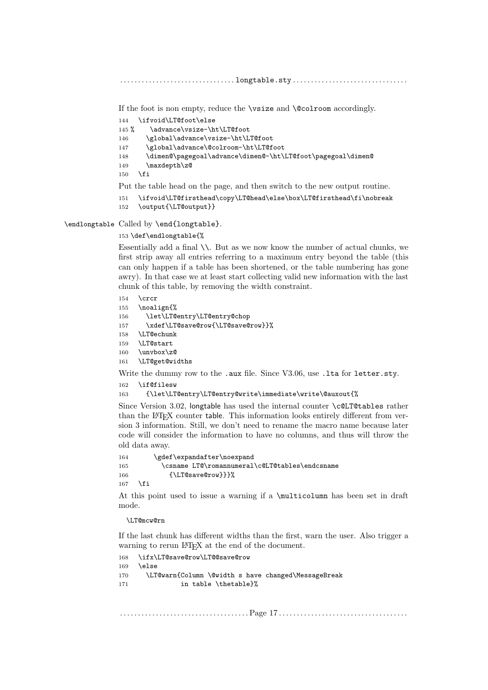If the foot is non empty, reduce the \vsize and \@colroom accordingly.

- 144 \ifvoid\LT@foot\else<br>145 % \advance\vsize-\h
- \advance\vsize-\ht\LT@foot
- 146 \global\advance\vsize-\ht\LT@foot
- 147 \global\advance\@colroom-\ht\LT@foot
- 148 \dimen@\pagegoal\advance\dimen@-\ht\LT@foot\pagegoal\dimen@
- 149 \maxdepth\z@
- $150$  \fi
- Put the table head on the page, and then switch to the new output routine.
- 151 \ifvoid\LT@firsthead\copy\LT@head\else\box\LT@firsthead\fi\nobreak
- 152 \output{\LT@output}}

\endlongtable Called by \end{longtable}.

153 \def\endlongtable{%

Essentially add a final \\. But as we now know the number of actual chunks, we first strip away all entries referring to a maximum entry beyond the table (this can only happen if a table has been shortened, or the table numbering has gone awry). In that case we at least start collecting valid new information with the last chunk of this table, by removing the width constraint.

#### $154 \,$  \crcr

 \noalign{% \let\LT@entry\LT@entry@chop \xdef\LT@save@row{\LT@save@row}}% 158 \LT@echunk \LT@start \unvbox\z@ \LT@get@widths Write the dummy row to the .aux file. Since V3.06, use .1ta for letter.sty.

162 \if@filesw

```
163 {\let\LT@entry\LT@entry@write\immediate\write\@auxout{%
```
Since Version 3.02, longtable has used the internal counter \c@LT@tables rather than the L<sup>AT</sup>EX counter table. This information looks entirely different from version 3 information. Still, we don't need to rename the macro name because later code will consider the information to have no columns, and thus will throw the old data away.

```
164 \gdef\expandafter\noexpand
165 \csname LT@\romannumeral\c@LT@tables\endcsname
166 {\LT@save@row}}}%
167 \quad \text{If}
```
At this point used to issue a warning if a \multicolumn has been set in draft mode.

\LT@mcw@rn

If the last chunk has different widths than the first, warn the user. Also trigger a warning to rerun LAT<sub>EX</sub> at the end of the document.

```
168 \ifx\LT@save@row\LT@@save@row
169 \else
170 \LT@warn{Column \@width s have changed\MessageBreak
171 in table \thetable}%
```
. . . . . . . . . . . . . . . . . . . . . . . . . . . . . . . . . . . . Page 17 . . . . . . . . . . . . . . . . . . . . . . . . . . . . . . . . . . . .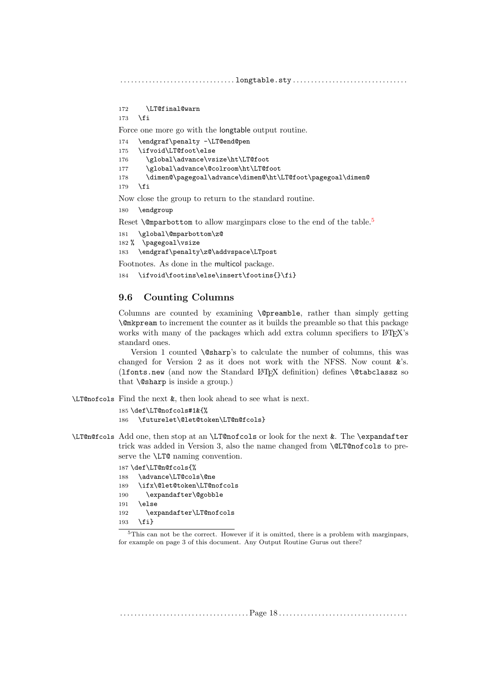```
172 \LT@final@warn
```

```
173 \fi
```
Force one more go with the longtable output routine.

```
174 \endgraf\penalty -\LT@end@pen
```

```
175 \ifvoid\LT@foot\else
```

```
176 \global\advance\vsize\ht\LT@foot
```

```
177 \global\advance\@colroom\ht\LT@foot
```
178 \dimen@\pagegoal\advance\dimen@\ht\LT@foot\pagegoal\dimen@ 179 \fi

Now close the group to return to the standard routine.

180 \endgroup

Reset **\@mparbottom** to allow marginpars close to the end of the table.<sup>[5](#page-17-0)</sup>

```
181 \global\@mparbottom\z@
```

```
182 % \pagegoal\vsize
```

```
183 \endgraf\penalty\z@\addvspace\LTpost
```
Footnotes. As done in the multicol package.

```
184 \ifvoid\footins\else\insert\footins{}\fi}
```
## 9.6 Counting Columns

Columns are counted by examining \@preamble, rather than simply getting \@mkpream to increment the counter as it builds the preamble so that this package works with many of the packages which add extra column specifiers to LAT<sub>EX</sub>'s standard ones.

Version 1 counted \@sharp's to calculate the number of columns, this was changed for Version 2 as it does not work with the NFSS. Now count &'s. (lfonts.new (and now the Standard LATEX definition) defines \@tabclassz so that \@sharp is inside a group.)

\LT@nofcols Find the next &, then look ahead to see what is next.

185 \def\LT@nofcols#1&{%

```
186 \futurelet\@let@token\LT@n@fcols}
```
\LT@n@fcols Add one, then stop at an \LT@nofcols or look for the next &. The \expandafter trick was added in Version 3, also the name changed from \@LT@nofcols to preserve the \LT@ naming convention.

> \def\LT@n@fcols{% \advance\LT@cols\@ne \ifx\@let@token\LT@nofcols \expandafter\@gobble 191 \else \expandafter\LT@nofcols 193 \fi}

. . . . . . . . . . . . . . . . . . . . . . . . . . . . . . . . . . . . Page 18 . . . . . . . . . . . . . . . . . . . . . . . . . . . . . . . . . . . .

<span id="page-17-0"></span><sup>5</sup>This can not be the correct. However if it is omitted, there is a problem with marginpars, for example on page 3 of this document. Any Output Routine Gurus out there?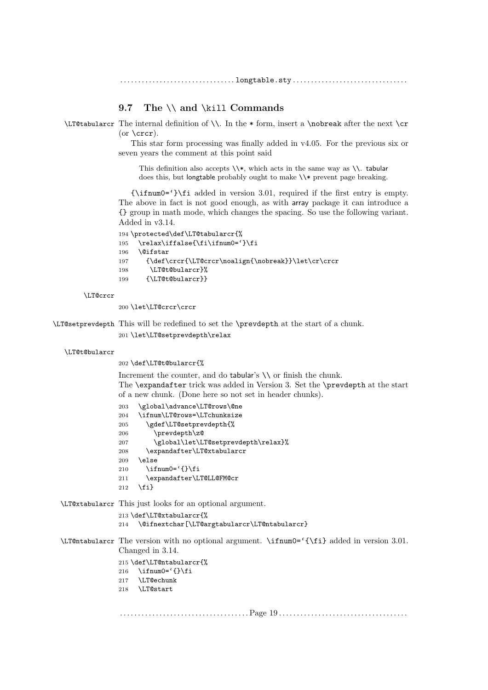## 9.7 The \\ and \kill Commands

 $\Leftrightarrow$   $\Leftrightarrow$  The internal definition of  $\Leftrightarrow$  In the  $*$  form, insert a  $\not\in$  and  $\Leftrightarrow$   $\Leftrightarrow$   $\Leftrightarrow$   $\Leftrightarrow$   $\Leftrightarrow$   $\Leftrightarrow$   $\Leftrightarrow$   $\Leftrightarrow$   $\Leftrightarrow$   $\Leftrightarrow$   $\Leftrightarrow$   $\Leftrightarrow$   $\Leftrightarrow$   $\Leftrightarrow$   $\Leftrightarrow$   $\Leftrightarrow$   $\Leftright$ (or  $\c{c}$ ).

> This star form processing was finally added in v4.05. For the previous six or seven years the comment at this point said

This definition also accepts  $\lambda$ , which acts in the same way as  $\lambda$ . tabular does this, but longtable probably ought to make  $\iota$  prevent page breaking.

{\ifnum0='}\fi added in version 3.01, required if the first entry is empty. The above in fact is not good enough, as with array package it can introduce a {} group in math mode, which changes the spacing. So use the following variant. Added in v3.14.

```
194 \protected\def\LT@tabularcr{%
195 \relax\iffalse{\fi\ifnum0='}\fi
196 \@ifstar
197 {\def\crcr{\LT@crcr\noalign{\nobreak}}\let\cr\crcr
198 \LT@t@bularcr}%
199 {\LT@t@bularcr}}
```
\LT@crcr

200 \let\LT@crcr\crcr

\LT@setprevdepth This will be redefined to set the \prevdepth at the start of a chunk.

201 \let\LT@setprevdepth\relax

```
\LT@t@bularcr
```
202 \def\LT@t@bularcr{%

Increment the counter, and do tabular's  $\setminus \setminus$  or finish the chunk. The \expandafter trick was added in Version 3. Set the \prevdepth at the start of a new chunk. (Done here so not set in header chunks).

```
203 \global\advance\LT@rows\@ne
204 \ifnum\LT@rows=\LTchunksize
205 \gdef\LT@setprevdepth{%
206 \prevdepth\z@
207 \global\let\LT@setprevdepth\relax}%
208 \expandafter\LT@xtabularcr
209 \else
210 \iint num0=' {\} \fi211 \expandafter\LT@LL@FM@cr
212 \{f_i\}
```
\LT@xtabularcr This just looks for an optional argument.

```
213 \def\LT@xtabularcr{%
```

```
214 \@ifnextchar[\LT@argtabularcr\LT@ntabularcr}
```
\LT@ntabularcr The version with no optional argument. \ifnum0='{\fi} added in version 3.01. Changed in 3.14. 215 \def\LT@ntabularcr{% 216  $\iint_{\mathbb{R}}$   $216$ 217 \LT@echunk  $218$  \LT@start . . . . . . . . . . . . . . . . . . . . . . . . . . . . . . . . . . . . Page 19 . . . . . . . . . . . . . . . . . . . . . . . . . . . . . . . . . . . .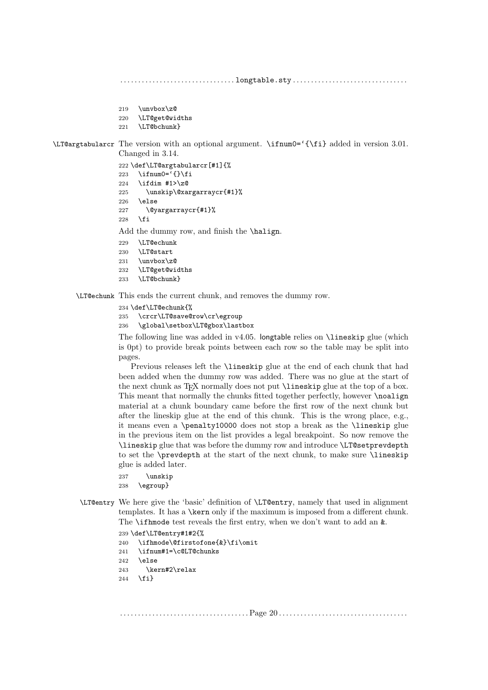- 219 \unvbox\z@
- 220 \LT@get@widths
- 221 \LT@bchunk}

\LT@argtabularcr The version with an optional argument. \ifnum0='{\fi} added in version 3.01. Changed in 3.14.

- 222 \def\LT@argtabularcr[#1]{% 223 \ifnum0= $\{ \} \$ fi
- 224 \ifdim #1>\z@
- 225 \unskip\@xargarraycr{#1}%  $226 \text{ kg}$
- 
- 227 \@yargarraycr{#1}%
- 228  $\setminus$ fi

Add the dummy row, and finish the \halign.

- 229 \LT@echunk
- 230 \LT@start
- $231 \text{ Vunvbox}z@$
- 232 \LT@get@widths
- 233 \LT@bchunk}

\LT@echunk This ends the current chunk, and removes the dummy row.

- 234 \def\LT@echunk{%
- 235 \crcr\LT@save@row\cr\egroup

236 \global\setbox\LT@gbox\lastbox

The following line was added in  $v4.05$ . longtable relies on **\lineskip** glue (which is 0pt) to provide break points between each row so the table may be split into pages.

Previous releases left the \lineskip glue at the end of each chunk that had been added when the dummy row was added. There was no glue at the start of the next chunk as T<sub>EX</sub> normally does not put **\lineskip** glue at the top of a box. This meant that normally the chunks fitted together perfectly, however \noalign material at a chunk boundary came before the first row of the next chunk but after the lineskip glue at the end of this chunk. This is the wrong place, e.g., it means even a \penalty10000 does not stop a break as the \lineskip glue in the previous item on the list provides a legal breakpoint. So now remove the \lineskip glue that was before the dummy row and introduce \LT@setprevdepth to set the \prevdepth at the start of the next chunk, to make sure \lineskip glue is added later.

```
237 \unskip
```
- 238 \egroup}
- \LT@entry We here give the 'basic' definition of \LT@entry, namely that used in alignment templates. It has a \kern only if the maximum is imposed from a different chunk. The \ifhmode test reveals the first entry, when we don't want to add an &.
	- 239 \def\LT@entry#1#2{%
	- 240 \ifhmode\@firstofone{&}\fi\omit
	- 241 \ifnum#1=\c@LT@chunks
	- 242 \else
	- 243 \kern#2\relax
	- 244  $\{f_i\}$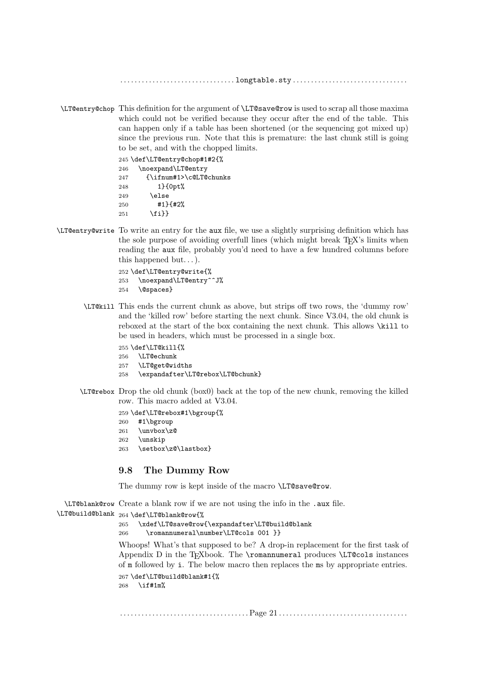\LT@entry@chop This definition for the argument of \LT@save@row is used to scrap all those maxima which could not be verified because they occur after the end of the table. This can happen only if a table has been shortened (or the sequencing got mixed up) since the previous run. Note that this is premature: the last chunk still is going to be set, and with the chopped limits.

|     | 245 \def\LT@entry@chop#1#2{% |
|-----|------------------------------|
| 246 | \noexpand\LT@entry           |
| 247 | {\ifnum#1>\c@LT@chunks       |
| 248 | $1$ { $0pt$ $%$              |
| 249 | \else                        |
| 250 | $#1$ + $2%$                  |
| 251 | $\{f_i\}$                    |

\LT@entry@write To write an entry for the aux file, we use a slightly surprising definition which has the sole purpose of avoiding overfull lines (which might break T<sub>E</sub>X's limits when reading the aux file, probably you'd need to have a few hundred columns before this happened but...).

```
252 \def\LT@entry@write{%
253 \noexpand\LT@entry^^J%
254 \@spaces}
```
- \LT@kill This ends the current chunk as above, but strips off two rows, the 'dummy row' and the 'killed row' before starting the next chunk. Since V3.04, the old chunk is reboxed at the start of the box containing the next chunk. This allows \kill to be used in headers, which must be processed in a single box.
	- 255 \def\LT@kill{%
	- 256 \LT@echunk
	- 257 \LT@get@widths
	- 258 \expandafter\LT@rebox\LT@bchunk}
- \LT@rebox Drop the old chunk (box0) back at the top of the new chunk, removing the killed row. This macro added at V3.04.

259 \def\LT@rebox#1\bgroup{%

- 260 #1\bgroup
- $261$  \unvbox\z@
- 262 \unskip
- 263 \setbox\z@\lastbox}

#### 9.8 The Dummy Row

The dummy row is kept inside of the macro \LT@save@row.

\LT@blank@row Create a blank row if we are not using the info in the .aux file.

```
\LT@build@blank
264 \def\LT@blank@row{%
```
265 \xdef\LT@save@row{\expandafter\LT@build@blank

266 \romannumeral\number\LT@cols 001 }}

Whoops! What's that supposed to be? A drop-in replacement for the first task of Appendix D in the TFXbook. The \romannumeral produces \LT@cols instances of m followed by i. The below macro then replaces the ms by appropriate entries. 267 \def\LT@build@blank#1{%

268 \if#1m%

. . . . . . . . . . . . . . . . . . . . . . . . . . . . . . . . . . . . Page 21 . . . . . . . . . . . . . . . . . . . . . . . . . . . . . . . . . . . .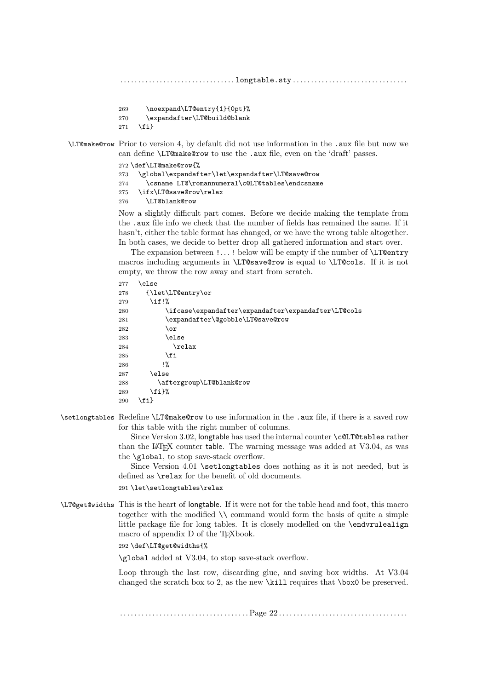- 269 \noexpand\LT@entry{1}{0pt}%
- 270 \expandafter\LT@build@blank
- $271 \quad \text{if}$

\LT@make@row Prior to version 4, by default did not use information in the .aux file but now we can define \LT@make@row to use the .aux file, even on the 'draft' passes.

```
272 \def\LT@make@row{%
273 \global\expandafter\let\expandafter\LT@save@row
274 \csname LT@\romannumeral\c@LT@tables\endcsname
275 \ifx\LT@save@row\relax
276 \LT@blank@row
```
Now a slightly difficult part comes. Before we decide making the template from the .aux file info we check that the number of fields has remained the same. If it hasn't, either the table format has changed, or we have the wrong table altogether. In both cases, we decide to better drop all gathered information and start over.

The expansion between !...! below will be empty if the number of  $\Leftrightarrow$   $\Leftrightarrow$   $\Leftrightarrow$   $\Leftrightarrow$   $\Leftrightarrow$   $\Leftrightarrow$   $\Leftrightarrow$   $\Leftrightarrow$   $\Leftrightarrow$   $\Leftrightarrow$   $\Leftrightarrow$   $\Leftrightarrow$   $\Leftrightarrow$   $\Leftrightarrow$   $\Leftrightarrow$   $\Leftrightarrow$   $\Leftrightarrow$   $\Leftrightarrow$   $\Leftrightarrow$   $\Leftright$ macros including arguments in \LT@save@row is equal to \LT@cols. If it is not empty, we throw the row away and start from scratch.

```
277 \else
278 {\let\LT@entry\or
279 \if!%
280 \ifcase\expandafter\expandafter\expandafter\LT@cols
281 \expandafter\@gobble\LT@save@row
282 \or
283 \else
284 \relax
285 \fi
286 !%
287 \else
288 \aftergroup\LT@blank@row
289 \fi}%
290 \fi}
```
\setlongtables Redefine \LT@make@row to use information in the .aux file, if there is a saved row for this table with the right number of columns.

> Since Version 3.02, longtable has used the internal counter \c@LT@tables rather than the L<sup>A</sup>T<sub>EX</sub> counter table. The warning message was added at V3.04, as was the \global, to stop save-stack overflow.

> Since Version 4.01 \setlongtables does nothing as it is not needed, but is defined as \relax for the benefit of old documents.

291 \let\setlongtables\relax

\LT@get@widths This is the heart of longtable. If it were not for the table head and foot, this macro together with the modified \\ command would form the basis of quite a simple little package file for long tables. It is closely modelled on the \endvrulealign macro of appendix D of the TEXbook.

292 \def\LT@get@widths{%

\global added at V3.04, to stop save-stack overflow.

Loop through the last row, discarding glue, and saving box widths. At V3.04 changed the scratch box to 2, as the new \kill requires that \box0 be preserved.

. . . . . . . . . . . . . . . . . . . . . . . . . . . . . . . . . . . . Page 22 . . . . . . . . . . . . . . . . . . . . . . . . . . . . . . . . . . . .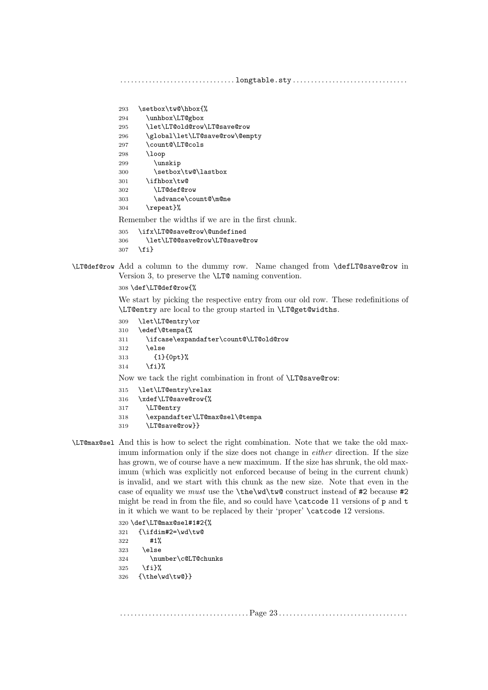```
293 \setbox\tw@\hbox{%
294 \unhbox\LT@gbox
295 \let\LT@old@row\LT@save@row
296 \global\let\LT@save@row\@empty
297 \count@\LT@cols
298 \loop
299 \unskip
300 \setbox\tw@\lastbox
301 \ifhbox\tw@
302 \LT@def@row
303 \advance\count@\m@ne
304 \repeat}%
Remember the widths if we are in the first chunk.
305 \ifx\LT@@save@row\@undefined
```

```
306 \let\LT@@save@row\LT@save@row
307 \quad \text{if }
```
\LT@def@row Add a column to the dummy row. Name changed from \defLT@save@row in Version 3, to preserve the \LT@ naming convention.

```
308 \def\LT@def@row{%
```
We start by picking the respective entry from our old row. These redefinitions of \LT@entry are local to the group started in \LT@get@widths.

```
309 \let\LT@entry\or
310 \edef\@tempa{%
311 \ifcase\expandafter\count@\LT@old@row
312 \times 122313 {1}{0pt}%
314 \fi}%
Now we tack the right combination in front of \LT@save@row:
315 \let\LT@entry\relax
```

```
316 \xdef\LT@save@row{%
```
- \LT@entry
- \expandafter\LT@max@sel\@tempa
- \LT@save@row}}
- \LT@max@sel And this is how to select the right combination. Note that we take the old maximum information only if the size does not change in either direction. If the size has grown, we of course have a new maximum. If the size has shrunk, the old maximum (which was explicitly not enforced because of being in the current chunk) is invalid, and we start with this chunk as the new size. Note that even in the case of equality we must use the \the\wd\tw@ construct instead of #2 because #2 might be read in from the file, and so could have  $\text{Catcode 11}$  versions of p and t in it which we want to be replaced by their 'proper' \catcode 12 versions.

 \def\LT@max@sel#1#2{% {\ifdim#2=\wd\tw@ #1% \else \number\c@LT@chunks \fi}% {\the\wd\tw@}}

. . . . . . . . . . . . . . . . . . . . . . . . . . . . . . . . . . . . Page 23 . . . . . . . . . . . . . . . . . . . . . . . . . . . . . . . . . . . .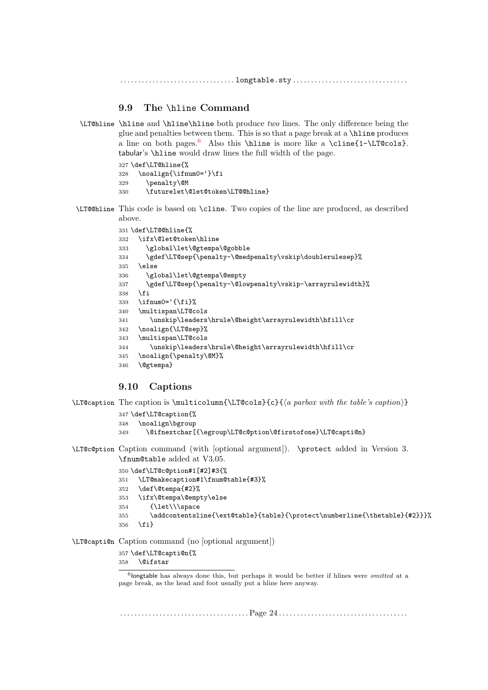## 9.9 The \hline Command

\LT@hline \hline and \hline\hline both produce two lines. The only difference being the glue and penalties between them. This is so that a page break at a \hline produces a line on both pages.<sup>[6](#page-23-0)</sup> Also this \hline is more like a \cline{1-\LT@cols}. tabular's \hline would draw lines the full width of the page.

> \def\LT@hline{% \noalign{\ifnum0='}\fi \penalty\@M \futurelet\@let@token\LT@@hline}

\LT@@hline This code is based on \cline. Two copies of the line are produced, as described above.

```
331 \def\LT@@hline{%
332 \ifx\@let@token\hline
333 \global\let\@gtempa\@gobble
334 \gdef\LT@sep{\penalty-\@medpenalty\vskip\doublerulesep}%
335 \else
336 \global\let\@gtempa\@empty
337 \gdef\LT@sep{\penalty-\@lowpenalty\vskip-\arrayrulewidth}%
338 \fi
339 \iint_{\mathbb{R}} 339340 \multispan\LT@cols
341 \unskip\leaders\hrule\@height\arrayrulewidth\hfill\cr
342 \noalign{\LT@sep}%
343 \multispan\LT@cols
344 \unskip\leaders\hrule\@height\arrayrulewidth\hfill\cr
345 \noalign{\penalty\@M}%
346 \@gtempa}
```
#### 9.10 Captions

 $\LTepsilon$  The caption is  $\text{LTe}({a parbox with the table's caution}$ 

```
347 \def\LT@caption{%
           348 \noalign\bgroup
           349 \@ifnextchar[{\egroup\LT@c@ption\@firstofone}\LT@capti@n}
\LT@c@ption Caption command (with [optional argument]). \protect added in Version 3.
           \fnum@table added at V3.05.
           350 \def\LT@c@ption#1[#2]#3{%
           351 \LT@makecaption#1\fnum@table{#3}%
           352 \def\@tempa{#2}%
           353 \ifx\@tempa\@empty\else
           354 {\let\\\space
           355 \addcontentsline{\ext@table}{table}{\protect\numberline{\thetable}{#2}}}%
           356 \fi}
```
\LT@capti@n Caption command (no [optional argument])

\def\LT@capti@n{%

\@ifstar

. . . . . . . . . . . . . . . . . . . . . . . . . . . . . . . . . . . . Page 24 . . . . . . . . . . . . . . . . . . . . . . . . . . . . . . . . . . . .

<span id="page-23-0"></span><sup>&</sup>lt;sup>6</sup>longtable has always done this, but perhaps it would be better if hlines were *omitted* at a page break, as the head and foot usually put a hline here anyway.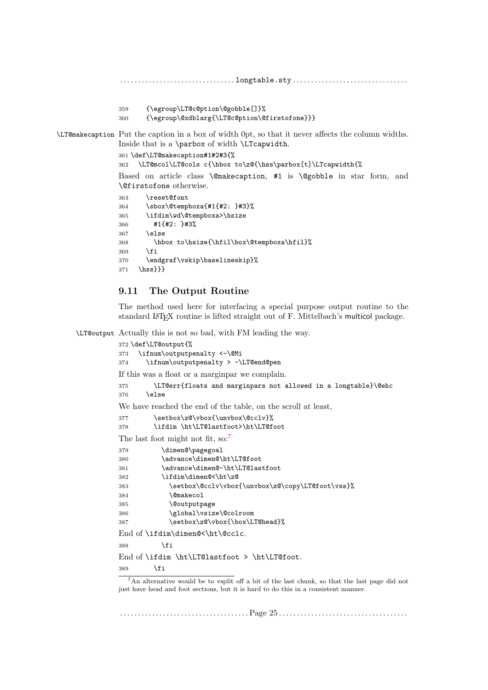```
. . . . . . . . . . . . . . . . . . . . . . . . . . . . . . . . longtable.sty . . . . . . . . . . . . . . . . . . . . . . . . . . . . . . . .
                359 {\egroup\LT@c@ption\@gobble[]}%
                360 {\egroup\@xdblarg{\LT@c@ption\@firstofone}}}
\LT@makecaption Put the caption in a box of width 0pt, so that it never affects the column widths.
                Inside that is a \parbox of width \LTcapwidth.
                 361 \def\LT@makecaption#1#2#3{%
                362 \LT@mcol\LT@cols c{\hbox to\z@{\hss\parbox[t]\LTcapwidth{%
                Based on article class \@makecaption, #1 is \@gobble in star form, and
                 \@firstofone otherwise.
                 363 \reset@font
                364 \sbox\@tempboxa{#1{#2: }#3}%
                365 \ifdim\wd\@tempboxa>\hsize
                366 #1{#2: }#3%
                367 \else
                368 \hbox to\hsize{\hfil\box\@tempboxa\hfil}%
                369 \fi
                370 \endgraf\vskip\baselineskip}%
                371 \hss}}}
```
## 9.11 The Output Routine

The method used here for interfacing a special purpose output routine to the standard LATEX routine is lifted straight out of F. Mittelbach's multicol package.

\LT@output Actually this is not so bad, with FM leading the way.

```
372 \def\LT@output{%
373 \ifnum\outputpenalty <-\@Mi
374 \ifnum\outputpenalty > -\LT@end@pen
If this was a float or a marginpar we complain.
375 \LT@err{floats and marginpars not allowed in a longtable}\@ehc
376 \else
We have reached the end of the table, on the scroll at least,
377 \setbox\z@\vbox{\unvbox\@cclv}%
378 \ifdim \ht\LT@lastfoot>\ht\LT@foot
7</sup>
379 \dimen@\pagegoal
380 \advance\dimen@\ht\LT@foot
381 \advance\dimen@-\ht\LT@lastfoot
382 \ifdim\dimen@<\ht\z@
383 \setbox\@cclv\vbox{\unvbox\z@\copy\LT@foot\vss}%
384 \@makecol
385 \@outputpage
386 \global\vsize\@colroom
387 \setbox\z@\vbox{\box\LT@head}%
End of \ifdim\dimen@<\ht\@cclc.
388 \fi
End of \ifdim \ht\LT@lastfoot > \ht\LT@foot.
389 \fi
  7An alternative would be to vsplit off a bit of the last chunk, so that the last page did not
just have head and foot sections, but it is hard to do this in a consistent manner.
```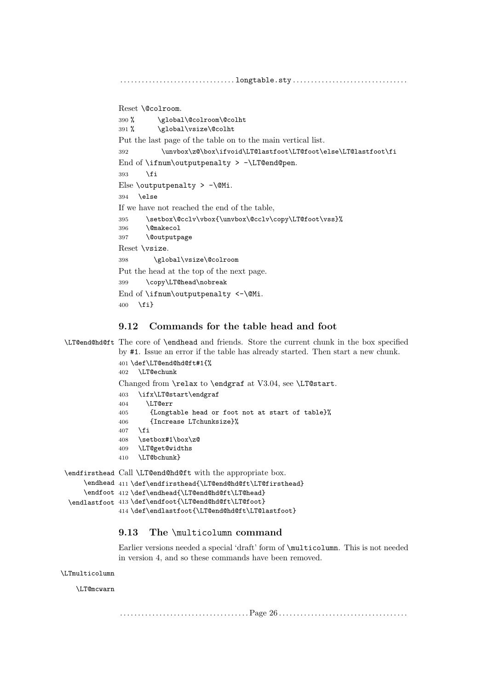Reset \@colroom. 390 % \global\@colroom\@colht 391 % \global\vsize\@colht Put the last page of the table on to the main vertical list. 392 \unvbox\z@\box\ifvoid\LT@lastfoot\LT@foot\else\LT@lastfoot\fi End of \ifnum\outputpenalty >  $-\L{Teend@pen}$ . 393 \fi Else \outputpenalty >  $-\$ \@Mi. 394 \else If we have not reached the end of the table, 395 \setbox\@cclv\vbox{\unvbox\@cclv\copy\LT@foot\vss}% 396 \@makecol 397 \@outputpage Reset \vsize. 398 \global\vsize\@colroom Put the head at the top of the next page. 399 \copy\LT@head\nobreak End of  $\int \mathrm{num}\output$   $\leftarrow \$ 400 \fi}

## 9.12 Commands for the table head and foot

\LT@end@hd@ft The core of \endhead and friends. Store the current chunk in the box specified by #1. Issue an error if the table has already started. Then start a new chunk.

```
401 \def\LT@end@hd@ft#1{%
             402 \LT@echunk
             Changed from \relax to \endgraf at V3.04, see \LT@start.
             403 \ifx\LT@start\endgraf
             404 \LT@err
             405 {Longtable head or foot not at start of table}%
             406 {Increase LTchunksize}%
             407 \fi
             408 \setbox#1\box\z@
             409 \LT@get@widths
             410 \LT@bchunk}
\endfirsthead
Call \LT@end@hd@ft with the appropriate box.
    \endhead 411 \def\endfirsthead{\LT@end@hd@ft\LT@firsthead}
```

```
\endfoot 412 \def\endhead{\LT@end@hd@ft\LT@head}
\endlastfoot 413 \def\endfoot{\LT@end@hd@ft\LT@foot}
             414 \def\endlastfoot{\LT@end@hd@ft\LT@lastfoot}
```
## 9.13 The \multicolumn command

Earlier versions needed a special 'draft' form of \multicolumn. This is not needed in version 4, and so these commands have been removed.

```
\LTmulticolumn
```
\LT@mcwarn

. . . . . . . . . . . . . . . . . . . . . . . . . . . . . . . . . . . . Page 26 . . . . . . . . . . . . . . . . . . . . . . . . . . . . . . . . . . . .